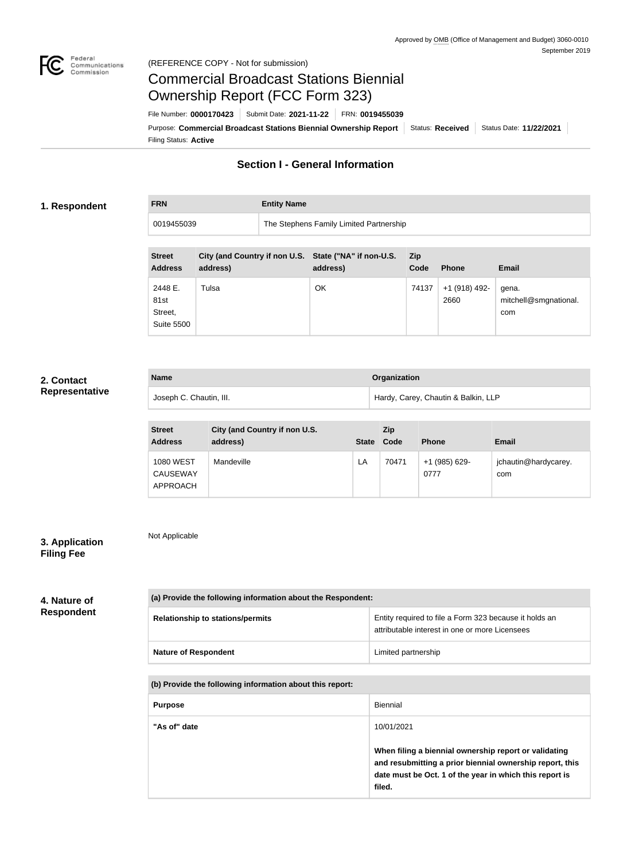

#### Federal<br>Communications<br>Commission (REFERENCE COPY - Not for submission)

# Commercial Broadcast Stations Biennial Ownership Report (FCC Form 323)

Filing Status: **Active** Purpose: Commercial Broadcast Stations Biennial Ownership Report Status: Received Status Date: 11/22/2021 File Number: **0000170423** Submit Date: **2021-11-22** FRN: **0019455039**

# **Section I - General Information**

#### **1. Respondent**

**FRN Entity Name**

0019455039 The Stephens Family Limited Partnership

| <b>Street</b><br><b>Address</b>                 | City (and Country if non U.S. State ("NA" if non-U.S.<br>address) | address) | <b>Zip</b><br>Code | <b>Phone</b>          | <b>Email</b>                          |
|-------------------------------------------------|-------------------------------------------------------------------|----------|--------------------|-----------------------|---------------------------------------|
| 2448 E.<br>81st<br>Street,<br><b>Suite 5500</b> | Tulsa                                                             | OK       | 74137              | +1 (918) 492-<br>2660 | gena.<br>mitchell@smgnational.<br>com |

## **2. Contact Representative**

| <b>Name</b>             | Organization                        |
|-------------------------|-------------------------------------|
| Joseph C. Chautin, III. | Hardy, Carey, Chautin & Balkin, LLP |

| <b>Street</b><br><b>Address</b>                 | City (and Country if non U.S.<br>address) | <b>State</b> | <b>Zip</b><br>Code | <b>Phone</b>          | <b>Email</b>                |
|-------------------------------------------------|-------------------------------------------|--------------|--------------------|-----------------------|-----------------------------|
| <b>1080 WEST</b><br><b>CAUSEWAY</b><br>APPROACH | Mandeville                                | LA           | 70471              | +1 (985) 629-<br>0777 | jchautin@hardycarey.<br>com |

## **3. Application Filing Fee**

Not Applicable

**4. Nature of Respondent**

| (a) Provide the following information about the Respondent: |                                                                                                          |  |
|-------------------------------------------------------------|----------------------------------------------------------------------------------------------------------|--|
| <b>Relationship to stations/permits</b>                     | Entity required to file a Form 323 because it holds an<br>attributable interest in one or more Licensees |  |
| <b>Nature of Respondent</b>                                 | Limited partnership                                                                                      |  |

#### **(b) Provide the following information about this report:**

| <b>Purpose</b> | Biennial                                                                                                                                                                               |
|----------------|----------------------------------------------------------------------------------------------------------------------------------------------------------------------------------------|
| "As of" date   | 10/01/2021                                                                                                                                                                             |
|                | When filing a biennial ownership report or validating<br>and resubmitting a prior biennial ownership report, this<br>date must be Oct. 1 of the year in which this report is<br>filed. |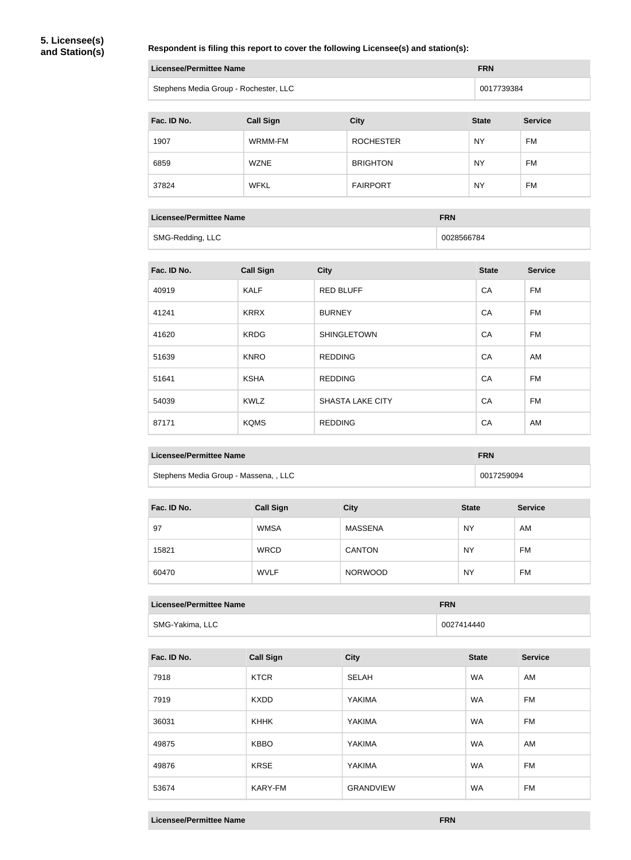#### **Respondent is filing this report to cover the following Licensee(s) and station(s):**

| Licensee/Permittee Name               | <b>FRN</b> |
|---------------------------------------|------------|
| Stephens Media Group - Rochester, LLC | 0017739384 |

| Fac. ID No. | <b>Call Sign</b> | <b>City</b>      | <b>State</b> | <b>Service</b> |
|-------------|------------------|------------------|--------------|----------------|
| 1907        | WRMM-FM          | <b>ROCHESTER</b> | <b>NY</b>    | <b>FM</b>      |
| 6859        | <b>WZNE</b>      | <b>BRIGHTON</b>  | <b>NY</b>    | <b>FM</b>      |
| 37824       | <b>WFKL</b>      | <b>FAIRPORT</b>  | <b>NY</b>    | <b>FM</b>      |

| <b>Licensee/Permittee Name</b> | <b>FRN</b> |
|--------------------------------|------------|
| SMG-Redding, LLC               | 0028566784 |

| Fac. ID No. | <b>Call Sign</b> | <b>City</b>             | <b>State</b> | <b>Service</b> |
|-------------|------------------|-------------------------|--------------|----------------|
| 40919       | <b>KALF</b>      | <b>RED BLUFF</b>        | CA           | <b>FM</b>      |
| 41241       | <b>KRRX</b>      | <b>BURNEY</b>           | CA           | FM             |
| 41620       | <b>KRDG</b>      | <b>SHINGLETOWN</b>      | CA           | FM             |
| 51639       | <b>KNRO</b>      | <b>REDDING</b>          | CA           | AM             |
| 51641       | <b>KSHA</b>      | <b>REDDING</b>          | CA           | <b>FM</b>      |
| 54039       | <b>KWLZ</b>      | <b>SHASTA LAKE CITY</b> | CA           | <b>FM</b>      |
| 87171       | <b>KQMS</b>      | <b>REDDING</b>          | CA           | AM             |

| <b>Licensee/Permittee Name</b> | <b>FRN</b> |  |
|--------------------------------|------------|--|
|--------------------------------|------------|--|

Stephens Media Group - Massena, , LLC 0017259094

| Fac. ID No. | <b>Call Sign</b> | <b>City</b>    | <b>State</b> | <b>Service</b> |
|-------------|------------------|----------------|--------------|----------------|
| 97          | <b>WMSA</b>      | <b>MASSENA</b> | <b>NY</b>    | AM             |
| 15821       | <b>WRCD</b>      | <b>CANTON</b>  | <b>NY</b>    | FM             |
| 60470       | <b>WVLF</b>      | <b>NORWOOD</b> | <b>NY</b>    | FM             |

| Licensee/Permittee Name | <b>FRN</b> |  |
|-------------------------|------------|--|
|                         |            |  |

| SMG-Yakima, LLC | 0027414440 |
|-----------------|------------|

| Fac. ID No. | <b>Call Sign</b> | <b>City</b>      | <b>State</b> | <b>Service</b> |
|-------------|------------------|------------------|--------------|----------------|
| 7918        | <b>KTCR</b>      | <b>SELAH</b>     | <b>WA</b>    | AM             |
| 7919        | <b>KXDD</b>      | YAKIMA           | <b>WA</b>    | FM             |
| 36031       | <b>KHHK</b>      | YAKIMA           | <b>WA</b>    | FM             |
| 49875       | <b>KBBO</b>      | YAKIMA           | <b>WA</b>    | AM             |
| 49876       | <b>KRSE</b>      | YAKIMA           | <b>WA</b>    | FM             |
| 53674       | <b>KARY-FM</b>   | <b>GRANDVIEW</b> | <b>WA</b>    | FM             |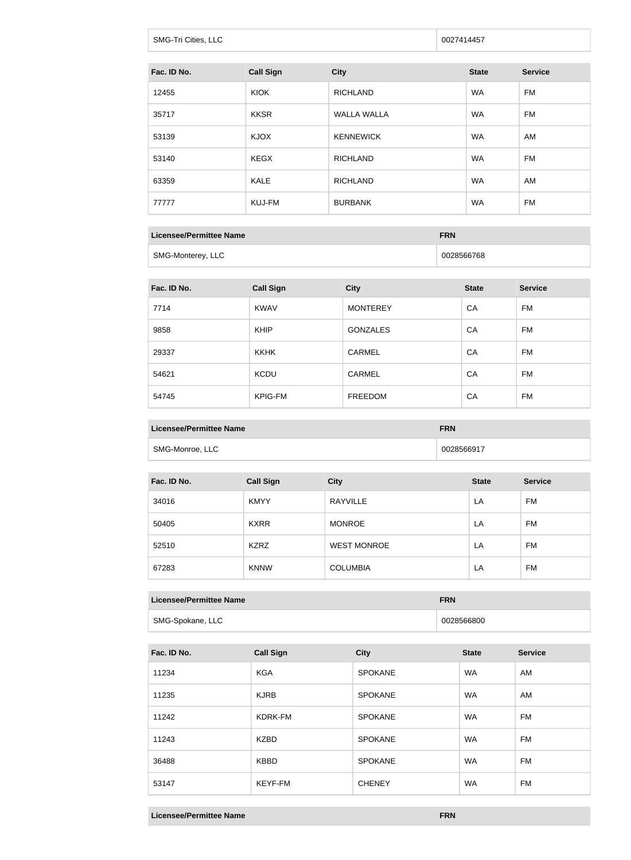| <b>SMG-Tri Cities, LLC</b> | 0027414457 |
|----------------------------|------------|
|                            |            |

| Fac. ID No. | <b>Call Sign</b> | <b>City</b>        | <b>State</b> | <b>Service</b> |
|-------------|------------------|--------------------|--------------|----------------|
| 12455       | <b>KIOK</b>      | <b>RICHLAND</b>    | <b>WA</b>    | FM             |
| 35717       | <b>KKSR</b>      | <b>WALLA WALLA</b> | <b>WA</b>    | FM             |
| 53139       | <b>KJOX</b>      | <b>KENNEWICK</b>   | <b>WA</b>    | AM             |
| 53140       | <b>KEGX</b>      | <b>RICHLAND</b>    | <b>WA</b>    | FM             |
| 63359       | <b>KALE</b>      | <b>RICHLAND</b>    | <b>WA</b>    | AM             |
| 77777       | KUJ-FM           | <b>BURBANK</b>     | <b>WA</b>    | FM             |

| Licensee/Permittee Name | <b>FRN</b> |
|-------------------------|------------|
| SMG-Monterey, LLC       | 0028566768 |

| Fac. ID No. | <b>Call Sign</b> | <b>City</b>     | <b>State</b> | <b>Service</b> |
|-------------|------------------|-----------------|--------------|----------------|
| 7714        | <b>KWAV</b>      | <b>MONTEREY</b> | CA           | FM             |
| 9858        | <b>KHIP</b>      | <b>GONZALES</b> | CA           | FM             |
| 29337       | <b>KKHK</b>      | <b>CARMEL</b>   | CA           | FM             |
| 54621       | <b>KCDU</b>      | <b>CARMEL</b>   | CA           | <b>FM</b>      |
| 54745       | <b>KPIG-FM</b>   | <b>FREEDOM</b>  | CA           | FM             |

| Licensee/Permittee Name | <b>FRN</b> |
|-------------------------|------------|
| SMG-Monroe, LLC         | 0028566917 |

| Fac. ID No. | <b>Call Sign</b> | <b>City</b>        | <b>State</b> | <b>Service</b> |
|-------------|------------------|--------------------|--------------|----------------|
| 34016       | <b>KMYY</b>      | <b>RAYVILLE</b>    | LA           | FM             |
| 50405       | <b>KXRR</b>      | <b>MONROE</b>      | LA           | FM             |
| 52510       | <b>KZRZ</b>      | <b>WEST MONROE</b> | LA           | FM             |
| 67283       | <b>KNNW</b>      | <b>COLUMBIA</b>    | LA           | FM             |

#### **Licensee/Permittee Name FRN**

| SMG-Spokane, LLC | 0028566800 |
|------------------|------------|

| Fac. ID No. | <b>Call Sign</b> | <b>City</b>    | <b>State</b> | <b>Service</b> |
|-------------|------------------|----------------|--------------|----------------|
| 11234       | <b>KGA</b>       | <b>SPOKANE</b> | <b>WA</b>    | AM             |
| 11235       | <b>KJRB</b>      | <b>SPOKANE</b> | <b>WA</b>    | AM             |
| 11242       | KDRK-FM          | <b>SPOKANE</b> | <b>WA</b>    | FM             |
| 11243       | <b>KZBD</b>      | <b>SPOKANE</b> | <b>WA</b>    | FM             |
| 36488       | <b>KBBD</b>      | <b>SPOKANE</b> | <b>WA</b>    | FM             |
| 53147       | <b>KEYF-FM</b>   | <b>CHENEY</b>  | <b>WA</b>    | <b>FM</b>      |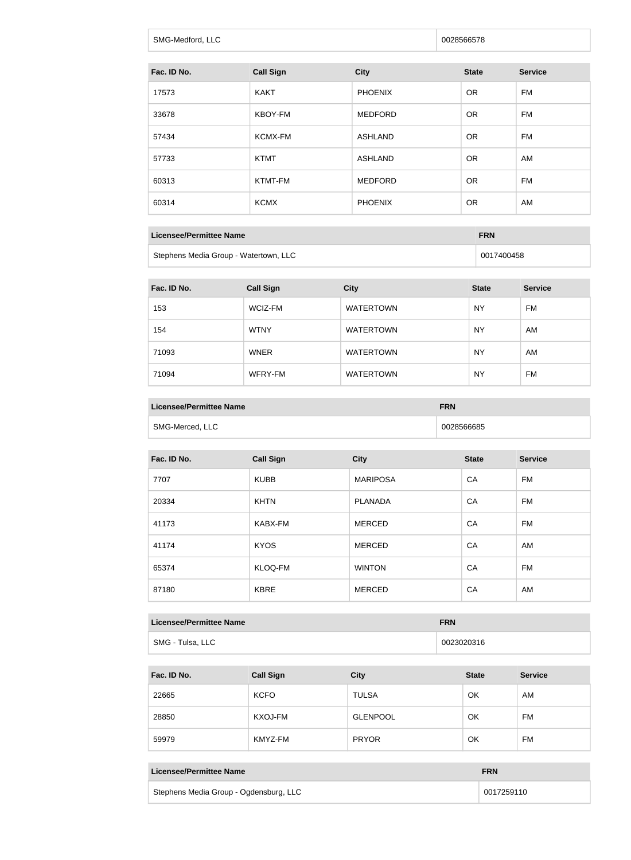| SMG-Medford, LLC | 0028566578 |
|------------------|------------|
|                  |            |

| Fac. ID No. | <b>Call Sign</b> | <b>City</b>    | <b>State</b> | <b>Service</b> |
|-------------|------------------|----------------|--------------|----------------|
| 17573       | <b>KAKT</b>      | <b>PHOENIX</b> | <b>OR</b>    | FM             |
| 33678       | KBOY-FM          | <b>MEDFORD</b> | <b>OR</b>    | FM             |
| 57434       | KCMX-FM          | <b>ASHLAND</b> | <b>OR</b>    | FM             |
| 57733       | <b>KTMT</b>      | <b>ASHLAND</b> | <b>OR</b>    | AM             |
| 60313       | KTMT-FM          | <b>MEDFORD</b> | <b>OR</b>    | <b>FM</b>      |
| 60314       | <b>KCMX</b>      | <b>PHOENIX</b> | <b>OR</b>    | AM             |
|             |                  |                |              |                |

| Licensee/Permittee Name               | <b>FRN</b> |  |
|---------------------------------------|------------|--|
| Stephens Media Group - Watertown, LLC | 0017400458 |  |

| Fac. ID No. | <b>Call Sign</b> | <b>City</b>      | <b>State</b> | <b>Service</b> |
|-------------|------------------|------------------|--------------|----------------|
| 153         | WCIZ-FM          | <b>WATERTOWN</b> | <b>NY</b>    | <b>FM</b>      |
| 154         | <b>WTNY</b>      | <b>WATERTOWN</b> | <b>NY</b>    | AM             |
| 71093       | <b>WNER</b>      | <b>WATERTOWN</b> | <b>NY</b>    | AM             |
| 71094       | WFRY-FM          | <b>WATERTOWN</b> | <b>NY</b>    | <b>FM</b>      |

| <b>Licensee/Permittee Name</b> | <b>FRN</b> |
|--------------------------------|------------|
| SMG-Merced, LLC                | 0028566685 |

| Fac. ID No. | <b>Call Sign</b> | <b>City</b>     | <b>State</b> | <b>Service</b> |
|-------------|------------------|-----------------|--------------|----------------|
| 7707        | <b>KUBB</b>      | <b>MARIPOSA</b> | CA           | <b>FM</b>      |
| 20334       | <b>KHTN</b>      | <b>PLANADA</b>  | CA           | FM             |
| 41173       | KABX-FM          | <b>MERCED</b>   | CA           | FM             |
| 41174       | <b>KYOS</b>      | <b>MERCED</b>   | CA           | AM             |
| 65374       | KLOQ-FM          | <b>WINTON</b>   | CA           | <b>FM</b>      |
| 87180       | <b>KBRE</b>      | <b>MERCED</b>   | CA           | AM             |

#### **Licensee/Permittee Name FRN**

SMG - Tulsa, LLC 20023020316

| Fac. ID No. | <b>Call Sign</b> | <b>City</b>     | <b>State</b> | <b>Service</b> |
|-------------|------------------|-----------------|--------------|----------------|
| 22665       | <b>KCFO</b>      | <b>TULSA</b>    | OK           | AM             |
| 28850       | KXOJ-FM          | <b>GLENPOOL</b> | OK           | <b>FM</b>      |
| 59979       | KMYZ-FM          | <b>PRYOR</b>    | OK           | <b>FM</b>      |

| Licensee/Permittee Name                | <b>FRN</b> |
|----------------------------------------|------------|
| Stephens Media Group - Ogdensburg, LLC | 0017259110 |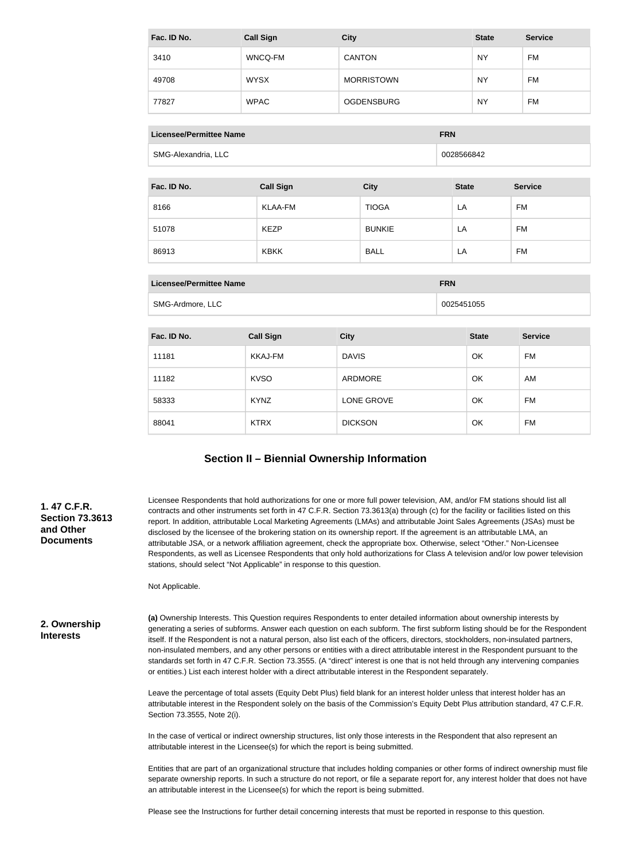| Fac. ID No. | <b>Call Sign</b> | <b>City</b>       | <b>State</b> | <b>Service</b> |
|-------------|------------------|-------------------|--------------|----------------|
| 3410        | WNCQ-FM          | <b>CANTON</b>     | <b>NY</b>    | <b>FM</b>      |
| 49708       | <b>WYSX</b>      | <b>MORRISTOWN</b> | <b>NY</b>    | <b>FM</b>      |
| 77827       | <b>WPAC</b>      | <b>OGDENSBURG</b> | <b>NY</b>    | <b>FM</b>      |

| Licensee/Permittee Name | <b>FRN</b> |
|-------------------------|------------|
| SMG-Alexandria, LLC     | 0028566842 |

| Fac. ID No. | <b>Call Sign</b> | <b>City</b>   | <b>State</b> | <b>Service</b> |
|-------------|------------------|---------------|--------------|----------------|
| 8166        | KLAA-FM          | <b>TIOGA</b>  | LA           | FM             |
| 51078       | <b>KEZP</b>      | <b>BUNKIE</b> | LA           | FM             |
| 86913       | <b>KBKK</b>      | <b>BALL</b>   | LA           | FM             |

| Licensee/Permittee Name | <b>FRN</b> |
|-------------------------|------------|
| SMG-Ardmore, LLC        | 0025451055 |

| Fac. ID No. | <b>Call Sign</b> | <b>City</b>    | <b>State</b> | <b>Service</b> |
|-------------|------------------|----------------|--------------|----------------|
| 11181       | KKAJ-FM          | <b>DAVIS</b>   | OK           | FM             |
| 11182       | <b>KVSO</b>      | ARDMORE        | OK           | AM             |
| 58333       | <b>KYNZ</b>      | LONE GROVE     | OK           | FM             |
| 88041       | <b>KTRX</b>      | <b>DICKSON</b> | OK           | FM             |

## **Section II – Biennial Ownership Information**

#### **1. 47 C.F.R. Section 73.3613 and Other Documents**

Licensee Respondents that hold authorizations for one or more full power television, AM, and/or FM stations should list all contracts and other instruments set forth in 47 C.F.R. Section 73.3613(a) through (c) for the facility or facilities listed on this report. In addition, attributable Local Marketing Agreements (LMAs) and attributable Joint Sales Agreements (JSAs) must be disclosed by the licensee of the brokering station on its ownership report. If the agreement is an attributable LMA, an attributable JSA, or a network affiliation agreement, check the appropriate box. Otherwise, select "Other." Non-Licensee Respondents, as well as Licensee Respondents that only hold authorizations for Class A television and/or low power television stations, should select "Not Applicable" in response to this question.

Not Applicable.

**2. Ownership Interests**

**(a)** Ownership Interests. This Question requires Respondents to enter detailed information about ownership interests by generating a series of subforms. Answer each question on each subform. The first subform listing should be for the Respondent itself. If the Respondent is not a natural person, also list each of the officers, directors, stockholders, non-insulated partners, non-insulated members, and any other persons or entities with a direct attributable interest in the Respondent pursuant to the standards set forth in 47 C.F.R. Section 73.3555. (A "direct" interest is one that is not held through any intervening companies or entities.) List each interest holder with a direct attributable interest in the Respondent separately.

Leave the percentage of total assets (Equity Debt Plus) field blank for an interest holder unless that interest holder has an attributable interest in the Respondent solely on the basis of the Commission's Equity Debt Plus attribution standard, 47 C.F.R. Section 73.3555, Note 2(i).

In the case of vertical or indirect ownership structures, list only those interests in the Respondent that also represent an attributable interest in the Licensee(s) for which the report is being submitted.

Entities that are part of an organizational structure that includes holding companies or other forms of indirect ownership must file separate ownership reports. In such a structure do not report, or file a separate report for, any interest holder that does not have an attributable interest in the Licensee(s) for which the report is being submitted.

Please see the Instructions for further detail concerning interests that must be reported in response to this question.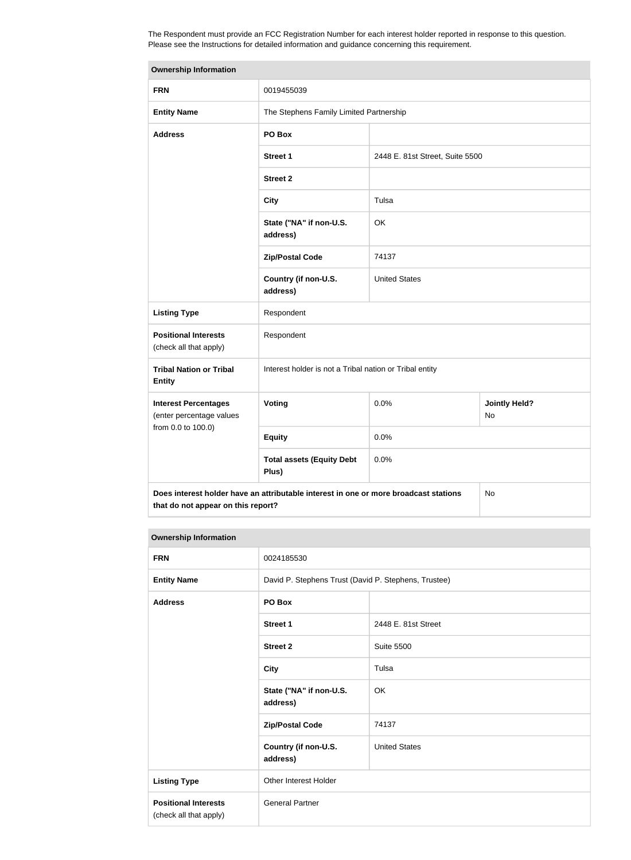The Respondent must provide an FCC Registration Number for each interest holder reported in response to this question. Please see the Instructions for detailed information and guidance concerning this requirement.

| <b>Ownership Information</b>                                                                                                     |                                                         |                                         |                            |  |
|----------------------------------------------------------------------------------------------------------------------------------|---------------------------------------------------------|-----------------------------------------|----------------------------|--|
| <b>FRN</b>                                                                                                                       | 0019455039                                              |                                         |                            |  |
| <b>Entity Name</b>                                                                                                               |                                                         | The Stephens Family Limited Partnership |                            |  |
| <b>Address</b>                                                                                                                   | PO Box                                                  |                                         |                            |  |
|                                                                                                                                  | <b>Street 1</b>                                         | 2448 E. 81st Street, Suite 5500         |                            |  |
|                                                                                                                                  | <b>Street 2</b>                                         |                                         |                            |  |
|                                                                                                                                  | <b>City</b>                                             | Tulsa                                   |                            |  |
|                                                                                                                                  | State ("NA" if non-U.S.<br>address)                     | OK                                      |                            |  |
|                                                                                                                                  | <b>Zip/Postal Code</b>                                  | 74137                                   |                            |  |
|                                                                                                                                  | Country (if non-U.S.<br>address)                        | <b>United States</b>                    |                            |  |
| <b>Listing Type</b>                                                                                                              | Respondent                                              |                                         |                            |  |
| <b>Positional Interests</b><br>(check all that apply)                                                                            | Respondent                                              |                                         |                            |  |
| <b>Tribal Nation or Tribal</b><br><b>Entity</b>                                                                                  | Interest holder is not a Tribal nation or Tribal entity |                                         |                            |  |
| <b>Interest Percentages</b><br>(enter percentage values                                                                          | Voting                                                  | 0.0%                                    | <b>Jointly Held?</b><br>No |  |
| from 0.0 to 100.0)                                                                                                               | <b>Equity</b>                                           | 0.0%                                    |                            |  |
|                                                                                                                                  | <b>Total assets (Equity Debt</b><br>Plus)               | 0.0%                                    |                            |  |
| Does interest holder have an attributable interest in one or more broadcast stations<br>No<br>that do not appear on this report? |                                                         |                                         |                            |  |

#### **Ownership Information**

| <b>FRN</b>                                            | 0024185530                                           |                      |
|-------------------------------------------------------|------------------------------------------------------|----------------------|
| <b>Entity Name</b>                                    | David P. Stephens Trust (David P. Stephens, Trustee) |                      |
| <b>Address</b>                                        | PO Box                                               |                      |
|                                                       | Street 1                                             | 2448 E. 81st Street  |
|                                                       | <b>Street 2</b>                                      | <b>Suite 5500</b>    |
|                                                       | <b>City</b>                                          | Tulsa                |
|                                                       | State ("NA" if non-U.S.<br>address)                  | OK                   |
|                                                       | <b>Zip/Postal Code</b>                               | 74137                |
|                                                       | Country (if non-U.S.<br>address)                     | <b>United States</b> |
| <b>Listing Type</b>                                   | Other Interest Holder                                |                      |
| <b>Positional Interests</b><br>(check all that apply) | <b>General Partner</b>                               |                      |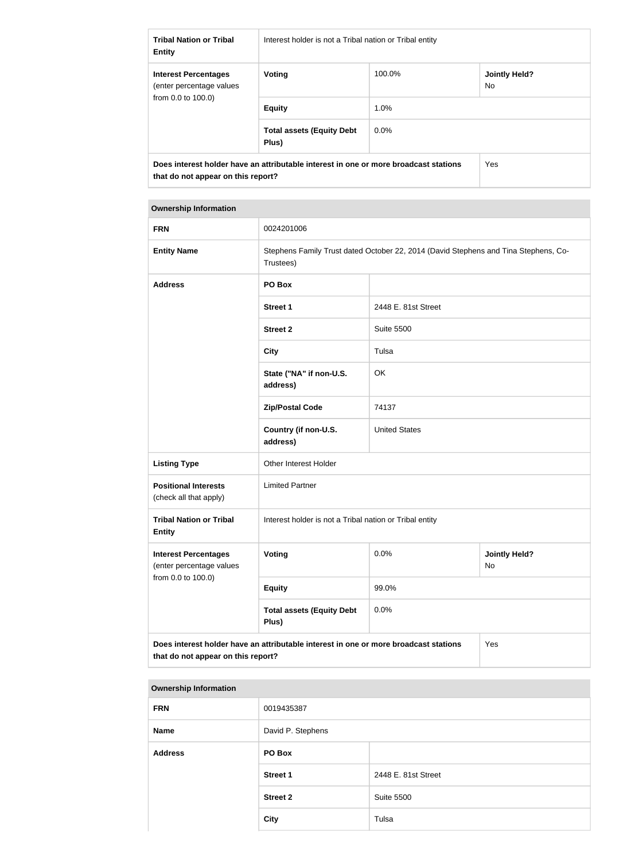| <b>Tribal Nation or Tribal</b><br><b>Entity</b>                               | Interest holder is not a Tribal nation or Tribal entity                              |         |                             |
|-------------------------------------------------------------------------------|--------------------------------------------------------------------------------------|---------|-----------------------------|
| <b>Interest Percentages</b><br>(enter percentage values<br>from 0.0 to 100.0) | Voting                                                                               | 100.0%  | <b>Jointly Held?</b><br>No. |
|                                                                               | <b>Equity</b>                                                                        | 1.0%    |                             |
|                                                                               | <b>Total assets (Equity Debt</b><br>Plus)                                            | $0.0\%$ |                             |
| that do not appear on this report?                                            | Does interest holder have an attributable interest in one or more broadcast stations |         | Yes                         |

#### **Ownership Information**

| <b>FRN</b>                                                                                  | 0024201006                                                                                       |                      |                            |
|---------------------------------------------------------------------------------------------|--------------------------------------------------------------------------------------------------|----------------------|----------------------------|
| <b>Entity Name</b>                                                                          | Stephens Family Trust dated October 22, 2014 (David Stephens and Tina Stephens, Co-<br>Trustees) |                      |                            |
| <b>Address</b>                                                                              | PO Box                                                                                           |                      |                            |
|                                                                                             | <b>Street 1</b>                                                                                  | 2448 E. 81st Street  |                            |
|                                                                                             | <b>Street 2</b>                                                                                  | <b>Suite 5500</b>    |                            |
|                                                                                             | <b>City</b>                                                                                      | Tulsa                |                            |
|                                                                                             | State ("NA" if non-U.S.<br>address)                                                              | OK                   |                            |
|                                                                                             | <b>Zip/Postal Code</b>                                                                           | 74137                |                            |
|                                                                                             | Country (if non-U.S.<br>address)                                                                 | <b>United States</b> |                            |
| <b>Listing Type</b>                                                                         | Other Interest Holder                                                                            |                      |                            |
| <b>Positional Interests</b><br>(check all that apply)                                       | <b>Limited Partner</b>                                                                           |                      |                            |
| <b>Tribal Nation or Tribal</b><br><b>Entity</b>                                             | Interest holder is not a Tribal nation or Tribal entity                                          |                      |                            |
| <b>Interest Percentages</b><br>(enter percentage values                                     | <b>Voting</b>                                                                                    | 0.0%                 | <b>Jointly Held?</b><br>No |
| from 0.0 to 100.0)                                                                          | <b>Equity</b>                                                                                    | 99.0%                |                            |
|                                                                                             | <b>Total assets (Equity Debt</b><br>Plus)                                                        | 0.0%                 |                            |
| Does interest holder have an attributable interest in one or more broadcast stations<br>Yes |                                                                                                  |                      |                            |

# **that do not appear on this report?**

| <b>Ownership Information</b> |                     |  |  |
|------------------------------|---------------------|--|--|
| 0019435387                   |                     |  |  |
| David P. Stephens            |                     |  |  |
| PO Box                       |                     |  |  |
| <b>Street 1</b>              | 2448 E. 81st Street |  |  |
| <b>Street 2</b>              | <b>Suite 5500</b>   |  |  |
| <b>City</b>                  | Tulsa               |  |  |
|                              |                     |  |  |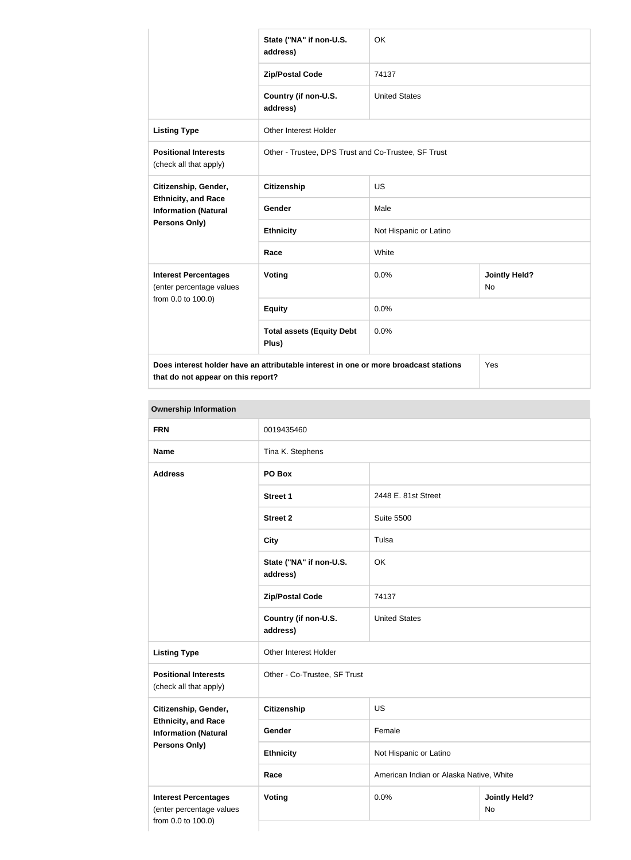|                                                                                      | State ("NA" if non-U.S.<br>address)                 | <b>OK</b>              |                            |
|--------------------------------------------------------------------------------------|-----------------------------------------------------|------------------------|----------------------------|
|                                                                                      | <b>Zip/Postal Code</b>                              | 74137                  |                            |
|                                                                                      | Country (if non-U.S.<br>address)                    | <b>United States</b>   |                            |
| <b>Listing Type</b>                                                                  | <b>Other Interest Holder</b>                        |                        |                            |
| <b>Positional Interests</b><br>(check all that apply)                                | Other - Trustee, DPS Trust and Co-Trustee, SF Trust |                        |                            |
| Citizenship, Gender,                                                                 | <b>Citizenship</b>                                  | <b>US</b>              |                            |
| <b>Ethnicity, and Race</b><br><b>Information (Natural</b>                            | Gender                                              | Male                   |                            |
| Persons Only)                                                                        | <b>Ethnicity</b>                                    | Not Hispanic or Latino |                            |
|                                                                                      | Race                                                | White                  |                            |
| <b>Interest Percentages</b><br>(enter percentage values<br>from 0.0 to 100.0)        | Voting                                              | 0.0%                   | <b>Jointly Held?</b><br>No |
|                                                                                      | <b>Equity</b>                                       | 0.0%                   |                            |
|                                                                                      | <b>Total assets (Equity Debt</b><br>Plus)           | 0.0%                   |                            |
| Does interest holder have an attributable interest in one or more broadcast stations |                                                     |                        | Yes                        |

**that do not appear on this report?**

**Ownership Information FRN** 0019435460 **Name** Tina K. Stephens **Address PO Box Street 1** 2448 E. 81st Street **Street 2** Suite 5500 **City** Tulsa **State ("NA" if non-U.S. address)** OK **Zip/Postal Code** 74137 **Country (if non-U.S. address)** United States **Listing Type Other Interest Holder Positional Interests** (check all that apply) Other - Co-Trustee, SF Trust **Citizenship, Gender, Ethnicity, and Race Information (Natural Persons Only) Citizenship** US Gender Female **Ethnicity** Not Hispanic or Latino **Race Race American Indian or Alaska Native, White Interest Percentages** (enter percentage values from 0.0 to 100.0) **Voting Voting Jointly Held?** No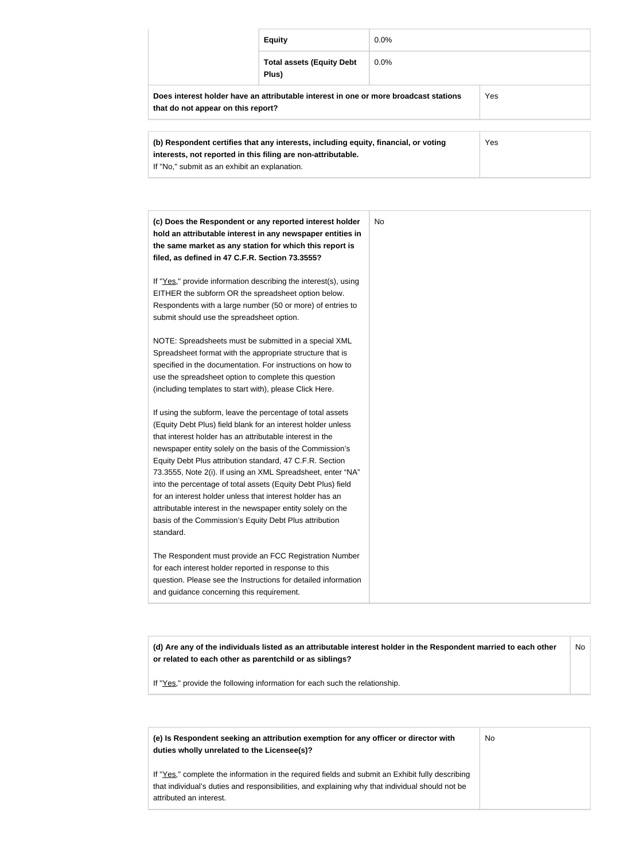|                                                                                                                                                            | <b>Equity</b>                             | $0.0\%$ |            |
|------------------------------------------------------------------------------------------------------------------------------------------------------------|-------------------------------------------|---------|------------|
|                                                                                                                                                            | <b>Total assets (Equity Debt</b><br>Plus) | $0.0\%$ |            |
| Does interest holder have an attributable interest in one or more broadcast stations<br>that do not appear on this report?                                 |                                           |         | <b>Yes</b> |
| Yes<br>(b) Respondent certifies that any interests, including equity, financial, or voting<br>interests, not reported in this filing are non-attributable. |                                           |         |            |

| (c) Does the Respondent or any reported interest holder<br>hold an attributable interest in any newspaper entities in | No. |
|-----------------------------------------------------------------------------------------------------------------------|-----|
| the same market as any station for which this report is                                                               |     |
| filed, as defined in 47 C.F.R. Section 73.3555?                                                                       |     |
|                                                                                                                       |     |
| If "Yes," provide information describing the interest(s), using                                                       |     |
| EITHER the subform OR the spreadsheet option below.                                                                   |     |
| Respondents with a large number (50 or more) of entries to                                                            |     |
| submit should use the spreadsheet option.                                                                             |     |
|                                                                                                                       |     |
| NOTE: Spreadsheets must be submitted in a special XML                                                                 |     |
| Spreadsheet format with the appropriate structure that is                                                             |     |
| specified in the documentation. For instructions on how to                                                            |     |
| use the spreadsheet option to complete this question                                                                  |     |
| (including templates to start with), please Click Here.                                                               |     |
| If using the subform, leave the percentage of total assets                                                            |     |
| (Equity Debt Plus) field blank for an interest holder unless                                                          |     |
| that interest holder has an attributable interest in the                                                              |     |
| newspaper entity solely on the basis of the Commission's                                                              |     |
| Equity Debt Plus attribution standard, 47 C.F.R. Section                                                              |     |
| 73.3555, Note 2(i). If using an XML Spreadsheet, enter "NA"                                                           |     |
| into the percentage of total assets (Equity Debt Plus) field                                                          |     |
| for an interest holder unless that interest holder has an                                                             |     |
| attributable interest in the newspaper entity solely on the                                                           |     |
| basis of the Commission's Equity Debt Plus attribution                                                                |     |
| standard.                                                                                                             |     |
| The Respondent must provide an FCC Registration Number                                                                |     |
| for each interest holder reported in response to this                                                                 |     |
| question. Please see the Instructions for detailed information                                                        |     |
| and guidance concerning this requirement.                                                                             |     |

**(d) Are any of the individuals listed as an attributable interest holder in the Respondent married to each other or related to each other as parentchild or as siblings?** No

If "Yes," provide the following information for each such the relationship.

If "No," submit as an exhibit an explanation.

| (e) Is Respondent seeking an attribution exemption for any officer or director with<br>duties wholly unrelated to the Licensee(s)? | No |
|------------------------------------------------------------------------------------------------------------------------------------|----|
| If "Yes," complete the information in the required fields and submit an Exhibit fully describing                                   |    |
| that individual's duties and responsibilities, and explaining why that individual should not be                                    |    |
| attributed an interest.                                                                                                            |    |